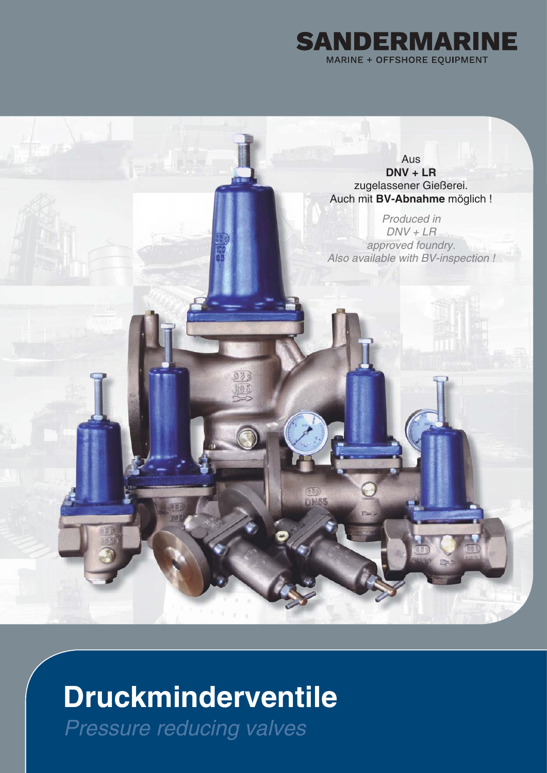

Aus **DNV + LR** zugelassener Gießerei. Auch mit **BV-Abnahme** möglich !

*Produced in DNV + LR approved foundry. Also available with BV-inspection !*

# **Druckminderventile**

330 283

*Pressure reducing valves*